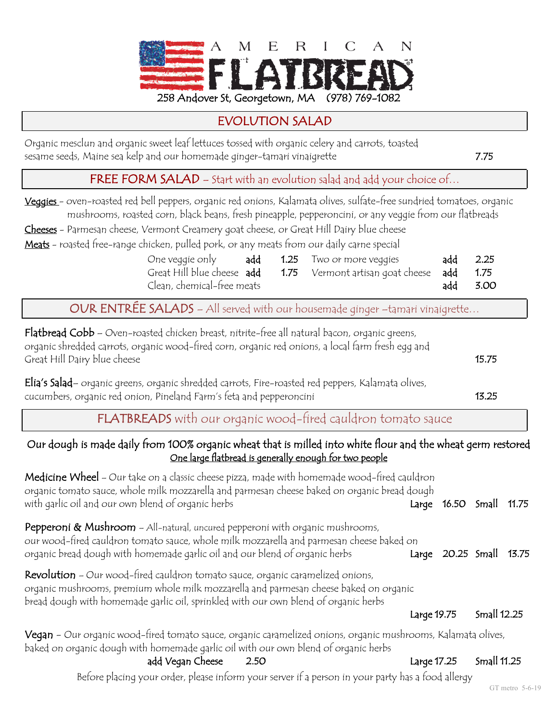

## EVOLUTION SALAD

Organic mesclun and organic sweet leaf lettuces tossed with organic celery and carrots, toasted sesame seeds, Maine sea kelp and our homemade ginger-tamari vinaigrette 7.75

FREE FORM SALAD – Start with an evolution salad and add your choice of...

- Veggies oven-roasted red bell peppers, organic red onions, Kalamata olives, sulfate-free sundried tomatoes, organic mushrooms, roasted corn, black beans, fresh pineapple, pepperoncini, or any veggie from our flatbreads
- Cheeses Parmesan cheese, Vermont Creamery goat cheese, or Great Hill Dairy blue cheese

Meats - roasted free-range chicken, pulled pork, or any meats from our daily carne special

|                            |  | One veggie only <b>add 1.25</b> Two or more veggies                  | add 2.25 |
|----------------------------|--|----------------------------------------------------------------------|----------|
|                            |  | Great Hill blue cheese add 1.75 Vermont artisan goat cheese add 1.75 |          |
| Clean, chemical-free meats |  |                                                                      | add 3.00 |

OUR ENTRÉE SALADS – All served with our housemade ginger –tamari vinaigrette…

| Flatbread Cobb - Oven-roasted chicken breast, nitrite-free all natural bacon, organic greens,<br>organic shredded carrots, organic wood-fired corn, organic red onions, a local farm fresh egg and<br>Great Hill Dairy blue cheese                                    |             |                   | 15.75       |       |  |  |
|-----------------------------------------------------------------------------------------------------------------------------------------------------------------------------------------------------------------------------------------------------------------------|-------------|-------------------|-------------|-------|--|--|
| Elia's Salad- organic greens, organic shredded carrots, Fire-roasted red peppers, Kalamata olives,<br>cucumbers, organic red onion, Pineland Farm's feta and pepperoncini                                                                                             |             |                   |             |       |  |  |
| FLATBREADS with our organic wood-fired cauldron tomato sauce                                                                                                                                                                                                          |             |                   |             |       |  |  |
| Our dough is made daily from 100% organic wheat that is milled into white flour and the wheat germ restored<br>One large flatbread is generally enough for two people                                                                                                 |             |                   |             |       |  |  |
| <b>Medicine Wheel</b> – Our take on a classic cheese pizza, made with homemade wood-fired cauldron<br>organic tomato sauce, whole milk mozzarella and parmesan cheese baked on organic bread dough<br>with garlic oil and our own blend of organic herbs              |             | Large 16.50 Small |             | 11.75 |  |  |
| Pepperoni & Mushroom - All-natural, uncured pepperoni with organic mushrooms,<br>our wood-fired cauldron tomato sauce, whole milk mozzarella and parmesan cheese baked on<br>organic bread dough with homemade garlic oil and our blend of organic herbs              |             | Large 20.25 Small |             | 13.75 |  |  |
| <b>Revolution</b> - Our wood-fired cauldron tomato sauce, organic caramelized onions,<br>organic mushrooms, premium whole milk mozzarella and parmesan cheese baked on organic<br>bread dough with homemade garlic oil, sprinkled with our own blend of organic herbs |             |                   |             |       |  |  |
|                                                                                                                                                                                                                                                                       | Large 19.75 |                   | Small 12.25 |       |  |  |
| Vegan - Our organic wood-fired tomato sauce, organic caramelized onions, organic mushrooms, Kalamata olives,<br>baked on organic dough with homemade garlic oil with our own blend of organic herbs                                                                   |             |                   |             |       |  |  |
| add Vegan Cheese<br>2.50                                                                                                                                                                                                                                              | Large 17.25 |                   | Small 11.25 |       |  |  |
| Before placing your order, please inform your server if a person in your party has a food allergy                                                                                                                                                                     |             |                   |             |       |  |  |